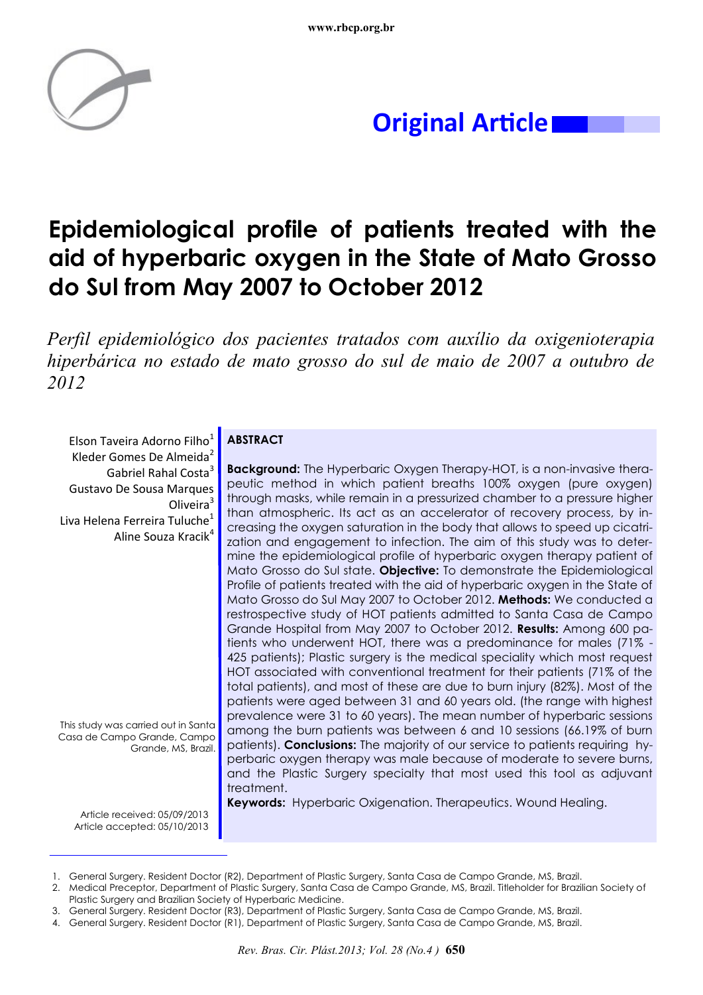

## **Original Article**

# **Epidemiological profile of patients treated with the aid of hyperbaric oxygen in the State of Mato Grosso do Sul from May 2007 to October 2012**

*Perfil epidemiológico dos pacientes tratados com auxílio da oxigenioterapia hiperbárica no estado de mato grosso do sul de maio de 2007 a outubro de 2012*

Elson Taveira Adorno Filho<sup>1</sup> Kleder Gomes De Almeida<sup>2</sup> Gabriel Rahal Costa<sup>3</sup> Gustavo De Sousa Marques Oliveira<sup>3</sup> Liva Helena Ferreira Tuluche $1$ Aline Souza Kracik<sup>4</sup>

This study was carried out in Santa Casa de Campo Grande, Campo Grande, MS, Brazil.

### **ABSTRACT**

**Background:** The Hyperbaric Oxygen Therapy-HOT, is a non-invasive therapeutic method in which patient breaths 100% oxygen (pure oxygen) through masks, while remain in a pressurized chamber to a pressure higher than atmospheric. Its act as an accelerator of recovery process, by increasing the oxygen saturation in the body that allows to speed up cicatrization and engagement to infection. The aim of this study was to determine the epidemiological profile of hyperbaric oxygen therapy patient of Mato Grosso do Sul state. **Objective:** To demonstrate the Epidemiological Profile of patients treated with the aid of hyperbaric oxygen in the State of Mato Grosso do Sul May 2007 to October 2012. **Methods:** We conducted a restrospective study of HOT patients admitted to Santa Casa de Campo Grande Hospital from May 2007 to October 2012. **Results:** Among 600 patients who underwent HOT, there was a predominance for males (71% - 425 patients); Plastic surgery is the medical speciality which most request HOT associated with conventional treatment for their patients (71% of the total patients), and most of these are due to burn injury (82%). Most of the patients were aged between 31 and 60 years old. (the range with highest prevalence were 31 to 60 years). The mean number of hyperbaric sessions among the burn patients was between 6 and 10 sessions (66.19% of burn patients). **Conclusions:** The majority of our service to patients requiring hyperbaric oxygen therapy was male because of moderate to severe burns, and the Plastic Surgery specialty that most used this tool as adjuvant treatment.

Article received: 05/09/2013 Article accepted: 05/10/2013

**Keywords:** Hyperbaric Oxigenation. Therapeutics. Wound Healing.

<sup>1.</sup> General Surgery. Resident Doctor (R2), Department of Plastic Surgery, Santa Casa de Campo Grande, MS, Brazil.

<sup>2.</sup> Medical Preceptor, Department of Plastic Surgery, Santa Casa de Campo Grande, MS, Brazil. Titleholder for Brazilian Society of Plastic Surgery and Brazilian Society of Hyperbaric Medicine.

<sup>3.</sup> General Surgery. Resident Doctor (R3), Department of Plastic Surgery, Santa Casa de Campo Grande, MS, Brazil.

<sup>4.</sup> General Surgery. Resident Doctor (R1), Department of Plastic Surgery, Santa Casa de Campo Grande, MS, Brazil.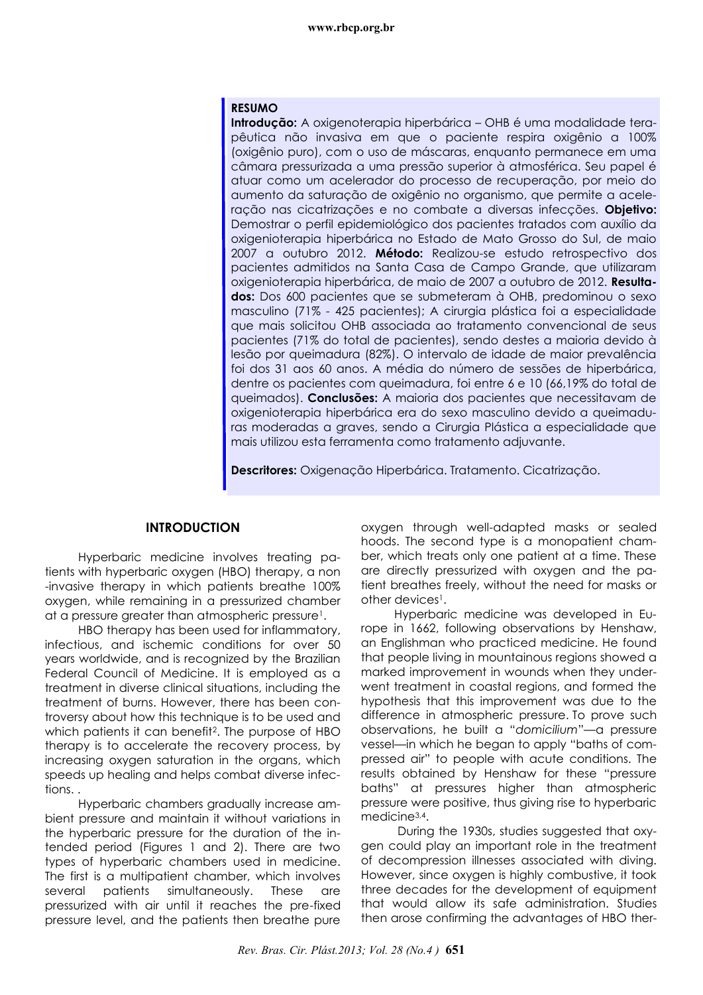#### **www.rbcp.org.br**

#### **RESUMO**

**Introdução:** A oxigenoterapia hiperbárica – OHB é uma modalidade terapêutica não invasiva em que o paciente respira oxigênio a 100% (oxigênio puro), com o uso de máscaras, enquanto permanece em uma câmara pressurizada a uma pressão superior à atmosférica. Seu papel é atuar como um acelerador do processo de recuperação, por meio do aumento da saturação de oxigênio no organismo, que permite a aceleração nas cicatrizações e no combate a diversas infecções. **Objetivo:** Demostrar o perfil epidemiológico dos pacientes tratados com auxílio da oxigenioterapia hiperbárica no Estado de Mato Grosso do Sul, de maio 2007 a outubro 2012. **Método:** Realizou-se estudo retrospectivo dos pacientes admitidos na Santa Casa de Campo Grande, que utilizaram oxigenioterapia hiperbárica, de maio de 2007 a outubro de 2012. **Resultados:** Dos 600 pacientes que se submeteram à OHB, predominou o sexo masculino (71% - 425 pacientes); A cirurgia plástica foi a especialidade que mais solicitou OHB associada ao tratamento convencional de seus pacientes (71% do total de pacientes), sendo destes a maioria devido à lesão por queimadura (82%). O intervalo de idade de maior prevalência foi dos 31 aos 60 anos. A média do número de sessões de hiperbárica, dentre os pacientes com queimadura, foi entre 6 e 10 (66,19% do total de queimados). **Conclusões:** A maioria dos pacientes que necessitavam de oxigenioterapia hiperbárica era do sexo masculino devido a queimaduras moderadas a graves, sendo a Cirurgia Plástica a especialidade que mais utilizou esta ferramenta como tratamento adjuvante.

**Descritores:** Oxigenação Hiperbárica. Tratamento. Cicatrização.

#### **INTRODUCTION**

Hyperbaric medicine involves treating patients with hyperbaric oxygen (HBO) therapy, a non -invasive therapy in which patients breathe 100% oxygen, while remaining in a pressurized chamber at a pressure greater than atmospheric pressure<sup>1</sup>.

HBO therapy has been used for inflammatory, infectious, and ischemic conditions for over 50 years worldwide, and is recognized by the Brazilian Federal Council of Medicine. It is employed as a treatment in diverse clinical situations, including the treatment of burns. However, there has been controversy about how this technique is to be used and which patients it can benefit<sup>2</sup>. The purpose of HBO therapy is to accelerate the recovery process, by increasing oxygen saturation in the organs, which speeds up healing and helps combat diverse infections. .

Hyperbaric chambers gradually increase ambient pressure and maintain it without variations in the hyperbaric pressure for the duration of the intended period (Figures 1 and 2). There are two types of hyperbaric chambers used in medicine. The first is a multipatient chamber, which involves several patients simultaneously. These are pressurized with air until it reaches the pre-fixed pressure level, and the patients then breathe pure

oxygen through well-adapted masks or sealed hoods. The second type is a monopatient chamber, which treats only one patient at a time. These are directly pressurized with oxygen and the patient breathes freely, without the need for masks or other devices<sup>1</sup>.

Hyperbaric medicine was developed in Europe in 1662, following observations by Henshaw, an Englishman who practiced medicine. He found that people living in mountainous regions showed a marked improvement in wounds when they underwent treatment in coastal regions, and formed the hypothesis that this improvement was due to the difference in atmospheric pressure. To prove such observations, he built a "*domicilium*"––a pressure vessel––in which he began to apply "baths of compressed air" to people with acute conditions. The results obtained by Henshaw for these "pressure baths" at pressures higher than atmospheric pressure were positive, thus giving rise to hyperbaric medicine<sup>3,4</sup>.

During the 1930s, studies suggested that oxygen could play an important role in the treatment of decompression illnesses associated with diving. However, since oxygen is highly combustive, it took three decades for the development of equipment that would allow its safe administration. Studies then arose confirming the advantages of HBO ther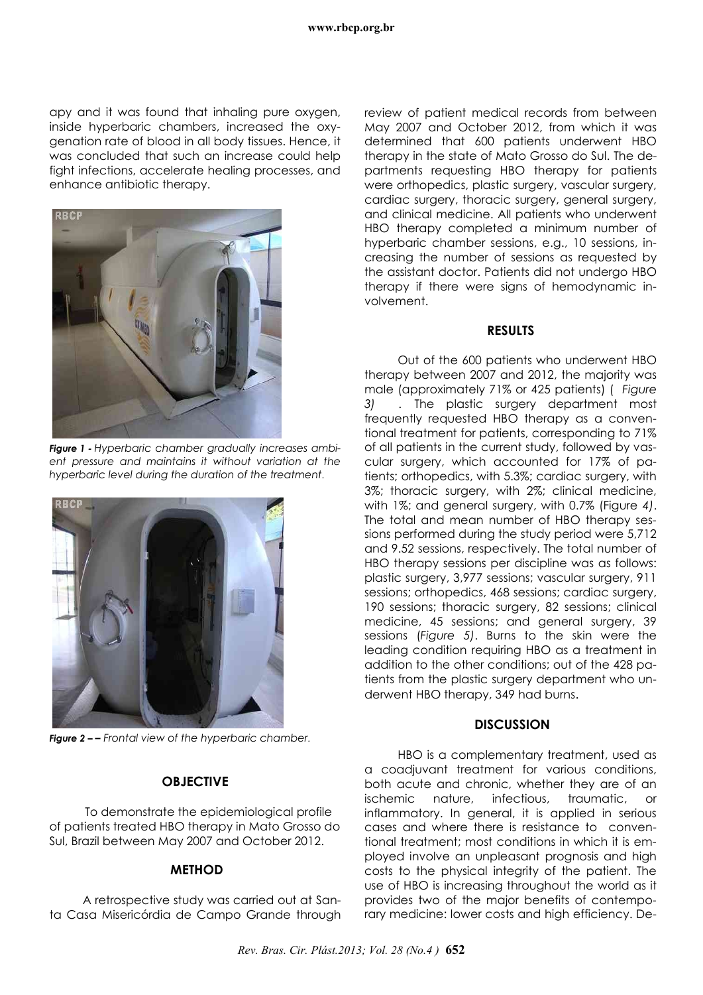apy and it was found that inhaling pure oxygen, inside hyperbaric chambers, increased the oxygenation rate of blood in all body tissues. Hence, it was concluded that such an increase could help fight infections, accelerate healing processes, and enhance antibiotic therapy.



*Figure 1 - Hyperbaric chamber gradually increases ambient pressure and maintains it without variation at the hyperbaric level during the duration of the treatment.*



*Figure 2 – – Frontal view of the hyperbaric chamber.*

### **OBJECTIVE**

To demonstrate the epidemiological profile of patients treated HBO therapy in Mato Grosso do Sul, Brazil between May 2007 and October 2012.

### **METHOD**

A retrospective study was carried out at Santa Casa Misericórdia de Campo Grande through review of patient medical records from between May 2007 and October 2012, from which it was determined that 600 patients underwent HBO therapy in the state of Mato Grosso do Sul. The departments requesting HBO therapy for patients were orthopedics, plastic surgery, vascular surgery, cardiac surgery, thoracic surgery, general surgery, and clinical medicine. All patients who underwent HBO therapy completed a minimum number of hyperbaric chamber sessions, e.g., 10 sessions, increasing the number of sessions as requested by the assistant doctor. Patients did not undergo HBO therapy if there were signs of hemodynamic involvement.

#### **RESULTS**

Out of the 600 patients who underwent HBO therapy between 2007 and 2012, the majority was male (approximately 71% or 425 patients) ( *Figure 3) .* The plastic surgery department most frequently requested HBO therapy as a conventional treatment for patients, corresponding to 71% of all patients in the current study, followed by vascular surgery, which accounted for 17% of patients; orthopedics, with 5.3%; cardiac surgery, with 3%; thoracic surgery, with 2%; clinical medicine, with 1%; and general surgery, with 0.7% (Figure *4)*. The total and mean number of HBO therapy sessions performed during the study period were 5,712 and 9.52 sessions, respectively. The total number of HBO therapy sessions per discipline was as follows: plastic surgery, 3,977 sessions; vascular surgery, 911 sessions; orthopedics, 468 sessions; cardiac surgery, 190 sessions; thoracic surgery, 82 sessions; clinical medicine, 45 sessions; and general surgery, 39 sessions (*Figure 5)*. Burns to the skin were the leading condition requiring HBO as a treatment in addition to the other conditions; out of the 428 patients from the plastic surgery department who underwent HBO therapy, 349 had burns.

### **DISCUSSION**

HBO is a complementary treatment, used as a coadjuvant treatment for various conditions, both acute and chronic, whether they are of an ischemic nature, infectious, traumatic, or inflammatory. In general, it is applied in serious cases and where there is resistance to conventional treatment; most conditions in which it is employed involve an unpleasant prognosis and high costs to the physical integrity of the patient. The use of HBO is increasing throughout the world as it provides two of the major benefits of contemporary medicine: lower costs and high efficiency. De-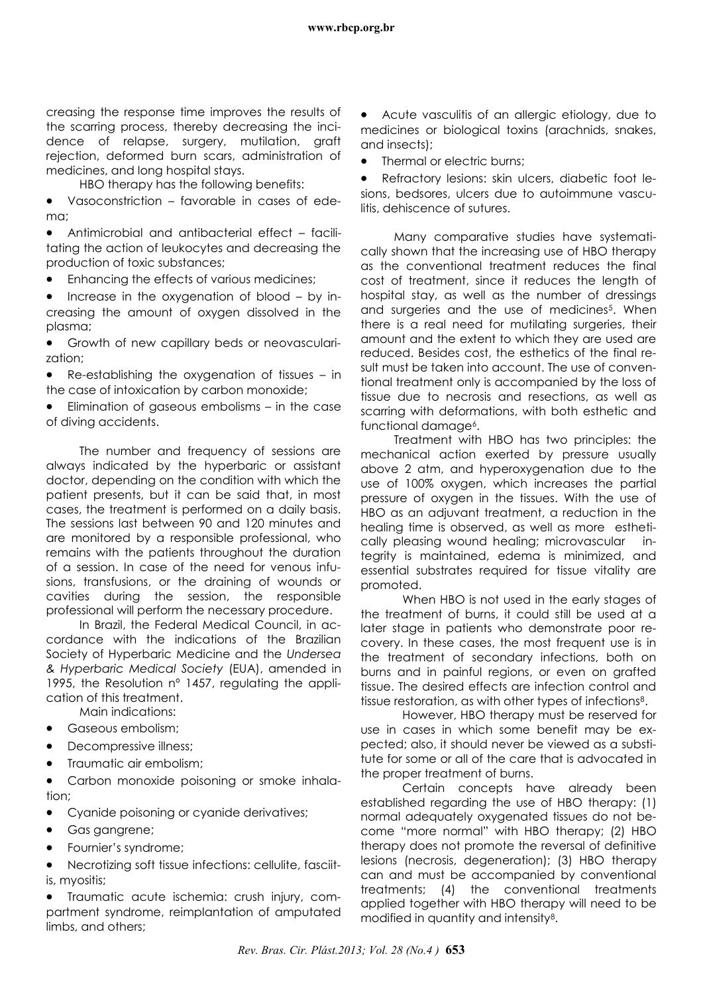creasing the response time improves the results of the scarring process, thereby decreasing the incidence of relapse, surgery, mutilation, graft rejection, deformed burn scars, administration of medicines, and long hospital stays.

HBO therapy has the following benefits:

 Vasoconstriction – favorable in cases of edema;

 Antimicrobial and antibacterial effect – facilitating the action of leukocytes and decreasing the production of toxic substances;

Enhancing the effects of various medicines;

 Increase in the oxygenation of blood – by increasing the amount of oxygen dissolved in the plasma;

 Growth of new capillary beds or neovascularization;

 Re-establishing the oxygenation of tissues – in the case of intoxication by carbon monoxide;

 Elimination of gaseous embolisms – in the case of diving accidents.

The number and frequency of sessions are always indicated by the hyperbaric or assistant doctor, depending on the condition with which the patient presents, but it can be said that, in most cases, the treatment is performed on a daily basis. The sessions last between 90 and 120 minutes and are monitored by a responsible professional, who remains with the patients throughout the duration of a session. In case of the need for venous infusions, transfusions, or the draining of wounds or cavities during the session, the responsible professional will perform the necessary procedure.

In Brazil, the Federal Medical Council, in accordance with the indications of the Brazilian Society of Hyperbaric Medicine and the *Undersea & Hyperbaric Medical Society* (EUA), amended in 1995, the Resolution nº 1457, regulating the application of this treatment.

Main indications:

- Gaseous embolism;
- Decompressive illness;
- Traumatic air embolism:

 Carbon monoxide poisoning or smoke inhalation;

- Cyanide poisoning or cyanide derivatives;
- Gas gangrene;
- Fournier's syndrome;

 Necrotizing soft tissue infections: cellulite, fasciitis, myositis;

 Traumatic acute ischemia: crush injury, compartment syndrome, reimplantation of amputated limbs, and others;

 Acute vasculitis of an allergic etiology, due to medicines or biological toxins (arachnids, snakes, and insects);

Thermal or electric burns;

• Refractory lesions: skin ulcers, diabetic foot lesions, bedsores, ulcers due to autoimmune vasculitis, dehiscence of sutures.

Many comparative studies have systematically shown that the increasing use of HBO therapy as the conventional treatment reduces the final cost of treatment, since it reduces the length of hospital stay, as well as the number of dressings and surgeries and the use of medicines<sup>5</sup>. When there is a real need for mutilating surgeries, their amount and the extent to which they are used are reduced. Besides cost, the esthetics of the final result must be taken into account. The use of conventional treatment only is accompanied by the loss of tissue due to necrosis and resections, as well as scarring with deformations, with both esthetic and functional damage<sup>6</sup>.

Treatment with HBO has two principles: the mechanical action exerted by pressure usually above 2 atm, and hyperoxygenation due to the use of 100% oxygen, which increases the partial pressure of oxygen in the tissues. With the use of HBO as an adjuvant treatment, a reduction in the healing time is observed, as well as more esthetically pleasing wound healing; microvascular integrity is maintained, edema is minimized, and essential substrates required for tissue vitality are promoted.

When HBO is not used in the early stages of the treatment of burns, it could still be used at a later stage in patients who demonstrate poor recovery. In these cases, the most frequent use is in the treatment of secondary infections, both on burns and in painful regions, or even on grafted tissue. The desired effects are infection control and tissue restoration, as with other types of infections8.

However, HBO therapy must be reserved for use in cases in which some benefit may be expected; also, it should never be viewed as a substitute for some or all of the care that is advocated in the proper treatment of burns.

Certain concepts have already been established regarding the use of HBO therapy: (1) normal adequately oxygenated tissues do not become "more normal" with HBO therapy; (2) HBO therapy does not promote the reversal of definitive lesions (necrosis, degeneration); (3) HBO therapy can and must be accompanied by conventional treatments; (4) the conventional treatments applied together with HBO therapy will need to be modified in quantity and intensity8.